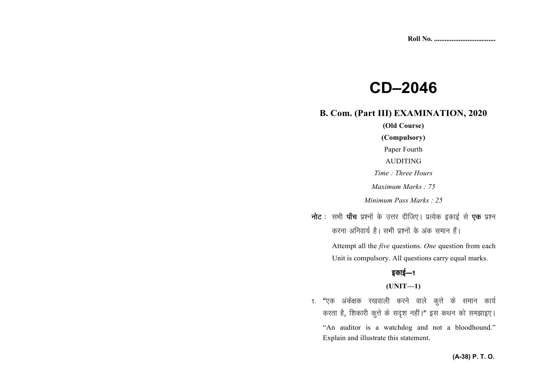# **CD–2046**

## **B. Com. (Part III) EXAMINATION, 2020**

**(Old Course) (Compulsory)** Paper Fourth AUDITING *Time : Three Hours Maximum Marks : 75 Minimum Pass Marks : 25*

**नोट** : सभी **पाँच** प्रश्नों के उत्तर दीजिए। प्रत्येक इकाई से **एक** प्रश्न करना अनिवार्य है। सभी प्रश्नों के अंक समान हैं।

> Attempt all the *five* questions. *One* question from each Unit is compulsory. All questions carry equal marks.

# डकाई—1

**(UNIT—1)** 

1. "एक अंकेक्षक रखवाली करने वाले कुत्ते के समान कार्य करता है, शिकारी कुत्ते के सदृश नहीं।" इस कथन को समझाइए। "An auditor is a watchdog and not a bloodhound." Explain and illustrate this statement.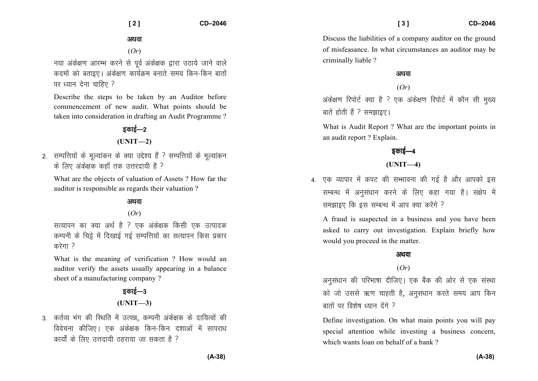#### अथवा

(*Or*)

नया अंकेक्षण आरम्भ करने से पर्व अंकेक्षक द्वारा उठाये जाने वाले कदमों को बताइए। अंकेक्षण कार्यक्रम बनाते समय किन-किन बातों पर ध्यान देना चाहिए ?

Describe the steps to be taken by an Auditor before commencement of new audit. What points should be taken into consideration in drafting an Audit Programme ?

> डकाई—2 **(UNIT—2)**

2. सम्पत्तियों के मुल्यांकन के क्या उद्देश्य हैं ? सम्पत्तियों के मुल्यांकन के लिए अंकेक्षक कहाँ तक उत्तरदायी है ?

What are the objects of valuation of Assets ? How far the auditor is responsible as regards their valuation ?

#### अथवा

(*Or*)

सत्यापन का क्या अर्थ है ? एक अंकेक्षक किसी एक उत्पादक कम्पनी के चिट्ठे में दिखाई गई सम्पत्तियों का सत्यापन किस प्रकार  $\overrightarrow{a}$ रेगा?

What is the meaning of verification ? How would an auditor verify the assets usually appearing in a balance sheet of a manufacturing company ?

# डकाई—3 **(UNIT—3)**

3. कर्तव्य भंग की रिथति में उत्पन्न, कम्पनी अंकेक्षक के दायित्वों की विवेचना कीजिए। एक अंकेक्षक किन-किन दशाओं में सापराध कार्यों के लिए उत्तदायी ठहराया जा सकता है ?

Discuss the liabilities of a company auditor on the ground of misfeasance. In what circumstances an auditor may be criminally liable ?

#### अथवा

(*Or*)

अंकेक्षण रिपोर्ट क्या है ? एक अंकेक्षण रिपोर्ट में कौन सी मुख्य बातें होती हैं ? समझाइए।

What is Audit Report ? What are the important points in an audit report ? Explain.

## डकाई—4

### **(UNIT—4)**

4. एक व्यापार में कपट की सभ्भावना की गई है और आपको इस सम्बन्ध में अनुसंधान करने के लिए कहा गया है। संक्षेप में समझाइए कि इस सम्बन्ध में आप क्या करेंगे ?

A fraud is suspected in a business and you have been asked to carry out investigation. Explain briefly how would you proceed in the matter.

#### अथवा

#### (*Or*)

अनसंधान की परिभाषा दीजिए। एक बैंक की ओर से एक संस्था को जो उससे ऋण चाहती है, अनुसंधान करते समय आप किन  $\overline{u}$  and  $\overline{u}$  and  $\overline{u}$  and  $\overline{u}$  and  $\overline{u}$ 

Define investigation. On what main points you will pay special attention while investing a business concern, which wants loan on behalf of a bank?